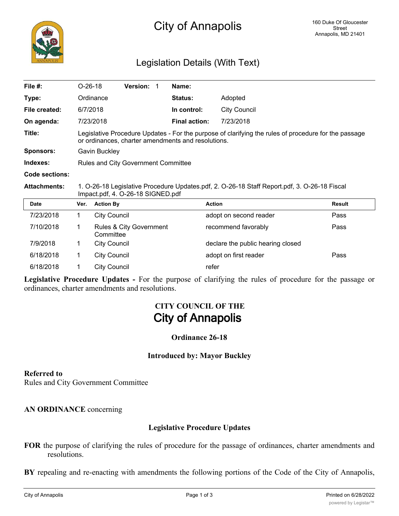

# Legislation Details (With Text)

| File #:             | $O-26-18$                                                                                                                                                  | <b>Version:</b> |  | Name:                |              |  |  |
|---------------------|------------------------------------------------------------------------------------------------------------------------------------------------------------|-----------------|--|----------------------|--------------|--|--|
| Type:               | Ordinance                                                                                                                                                  |                 |  | <b>Status:</b>       | Adopted      |  |  |
| File created:       | 6/7/2018                                                                                                                                                   |                 |  | In control:          | City Council |  |  |
| On agenda:          | 7/23/2018                                                                                                                                                  |                 |  | <b>Final action:</b> | 7/23/2018    |  |  |
| Title:              | Legislative Procedure Updates - For the purpose of clarifying the rules of procedure for the passage<br>or ordinances, charter amendments and resolutions. |                 |  |                      |              |  |  |
| Sponsors:           | Gavin Buckley                                                                                                                                              |                 |  |                      |              |  |  |
| Indexes:            | Rules and City Government Committee                                                                                                                        |                 |  |                      |              |  |  |
| Code sections:      |                                                                                                                                                            |                 |  |                      |              |  |  |
| <b>Attachments:</b> | 1. O-26-18 Legislative Procedure Updates.pdf, 2. O-26-18 Staff Report.pdf, 3. O-26-18 Fiscal                                                               |                 |  |                      |              |  |  |

**Attachments:** 1. O-26-18 Legislative Procedure Updates.pdf, 2. O-26-18 Staff Report.pdf, 3. O-26-18 Fiscal Impact.pdf, 4. O-26-18 SIGNED.pdf

| <b>Date</b> | Ver. | <b>Action By</b>                     | <b>Action</b>                     | <b>Result</b> |
|-------------|------|--------------------------------------|-----------------------------------|---------------|
| 7/23/2018   |      | City Council                         | adopt on second reader            | Pass          |
| 7/10/2018   |      | Rules & City Government<br>Committee | recommend favorably               | Pass          |
| 7/9/2018    |      | <b>City Council</b>                  | declare the public hearing closed |               |
| 6/18/2018   |      | <b>City Council</b>                  | adopt on first reader             | Pass          |
| 6/18/2018   |      | <b>City Council</b>                  | refer                             |               |

**Legislative Procedure Updates -** For the purpose of clarifying the rules of procedure for the passage or ordinances, charter amendments and resolutions.

# **CITY COUNCIL OF THE City of Annapolis**

### **Ordinance 26-18**

### **Introduced by: Mayor Buckley**

#### **Referred to**

Rules and City Government Committee

### **AN ORDINANCE** concerning

## **Legislative Procedure Updates**

**FOR** the purpose of clarifying the rules of procedure for the passage of ordinances, charter amendments and resolutions.

**BY** repealing and re-enacting with amendments the following portions of the Code of the City of Annapolis,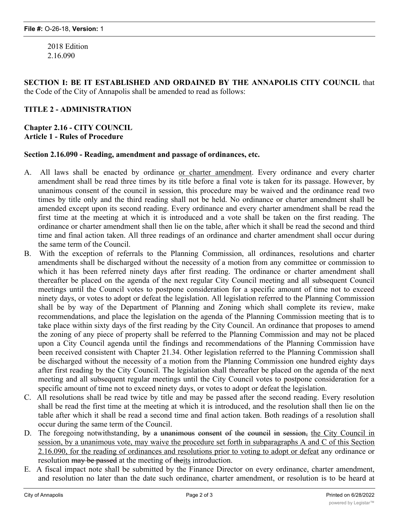2018 Edition 2.16.090

**SECTION I: BE IT ESTABLISHED AND ORDAINED BY THE ANNAPOLIS CITY COUNCIL** that the Code of the City of Annapolis shall be amended to read as follows:

# **TITLE 2 - ADMINISTRATION**

## **Chapter 2.16 - CITY COUNCIL Article 1 - Rules of Procedure**

#### **Section 2.16.090 - Reading, amendment and passage of ordinances, etc.**

- A. All laws shall be enacted by ordinance or charter amendment. Every ordinance and every charter amendment shall be read three times by its title before a final vote is taken for its passage. However, by unanimous consent of the council in session, this procedure may be waived and the ordinance read two times by title only and the third reading shall not be held. No ordinance or charter amendment shall be amended except upon its second reading. Every ordinance and every charter amendment shall be read the first time at the meeting at which it is introduced and a vote shall be taken on the first reading. The ordinance or charter amendment shall then lie on the table, after which it shall be read the second and third time and final action taken. All three readings of an ordinance and charter amendment shall occur during the same term of the Council.
- B. With the exception of referrals to the Planning Commission, all ordinances, resolutions and charter amendments shall be discharged without the necessity of a motion from any committee or commission to which it has been referred ninety days after first reading. The ordinance or charter amendment shall thereafter be placed on the agenda of the next regular City Council meeting and all subsequent Council meetings until the Council votes to postpone consideration for a specific amount of time not to exceed ninety days, or votes to adopt or defeat the legislation. All legislation referred to the Planning Commission shall be by way of the Department of Planning and Zoning which shall complete its review, make recommendations, and place the legislation on the agenda of the Planning Commission meeting that is to take place within sixty days of the first reading by the City Council. An ordinance that proposes to amend the zoning of any piece of property shall be referred to the Planning Commission and may not be placed upon a City Council agenda until the findings and recommendations of the Planning Commission have been received consistent with Chapter 21.34. Other legislation referred to the Planning Commission shall be discharged without the necessity of a motion from the Planning Commission one hundred eighty days after first reading by the City Council. The legislation shall thereafter be placed on the agenda of the next meeting and all subsequent regular meetings until the City Council votes to postpone consideration for a specific amount of time not to exceed ninety days, or votes to adopt or defeat the legislation.
- C. All resolutions shall be read twice by title and may be passed after the second reading. Every resolution shall be read the first time at the meeting at which it is introduced, and the resolution shall then lie on the table after which it shall be read a second time and final action taken. Both readings of a resolution shall occur during the same term of the Council.
- D. The foregoing notwithstanding, by a unanimous consent of the council in session, the City Council in session, by a unanimous vote, may waive the procedure set forth in subparagraphs A and C of this Section 2.16.090, for the reading of ordinances and resolutions prior to voting to adopt or defeat any ordinance or resolution may be passed at the meeting of theits introduction.
- E. A fiscal impact note shall be submitted by the Finance Director on every ordinance, charter amendment, and resolution no later than the date such ordinance, charter amendment, or resolution is to be heard at

public hearing. Any ordinance or resolution waiving or reducing City fees shall be referred to the Finance